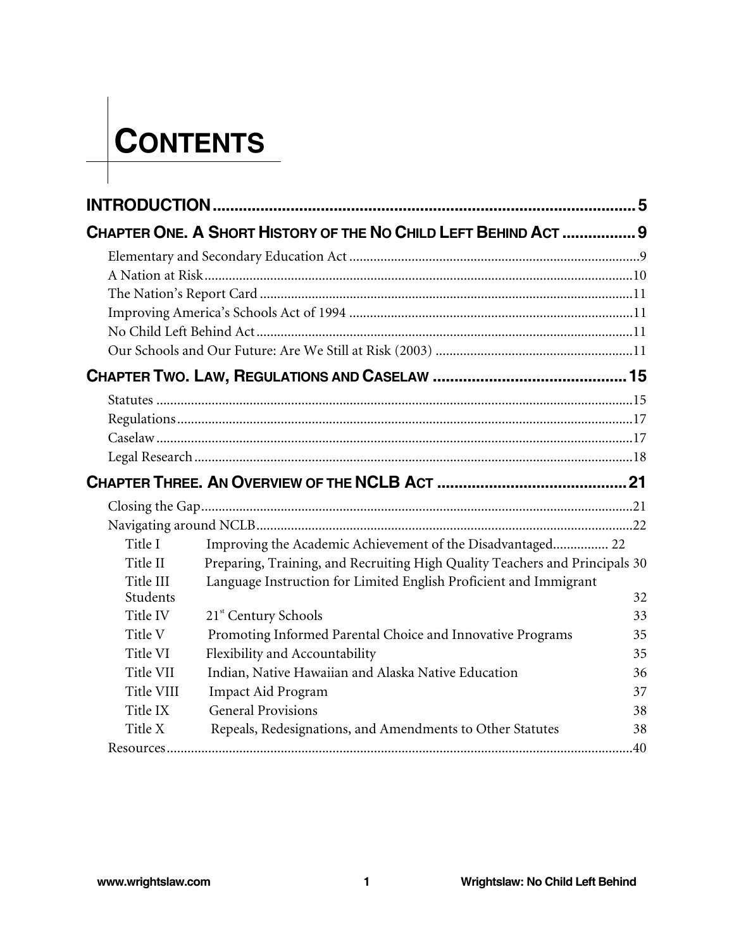## **CONTENTS**

|            | CHAPTER ONE. A SHORT HISTORY OF THE NO CHILD LEFT BEHIND ACT  9             |    |
|------------|-----------------------------------------------------------------------------|----|
|            |                                                                             |    |
|            |                                                                             |    |
|            |                                                                             |    |
|            |                                                                             |    |
|            |                                                                             |    |
|            |                                                                             |    |
|            |                                                                             |    |
|            |                                                                             |    |
|            |                                                                             |    |
|            |                                                                             |    |
|            |                                                                             |    |
|            |                                                                             |    |
|            |                                                                             |    |
|            |                                                                             |    |
| Title I    | Improving the Academic Achievement of the Disadvantaged 22                  |    |
| Title II   | Preparing, Training, and Recruiting High Quality Teachers and Principals 30 |    |
| Title III  | Language Instruction for Limited English Proficient and Immigrant           |    |
| Students   |                                                                             | 32 |
| Title IV   | 21 <sup>st</sup> Century Schools                                            | 33 |
| Title V    | Promoting Informed Parental Choice and Innovative Programs                  | 35 |
| Title VI   | Flexibility and Accountability                                              | 35 |
| Title VII  | Indian, Native Hawaiian and Alaska Native Education                         | 36 |
| Title VIII | <b>Impact Aid Program</b>                                                   | 37 |
| Title IX   | <b>General Provisions</b>                                                   | 38 |
| Title X    | Repeals, Redesignations, and Amendments to Other Statutes                   | 38 |
|            |                                                                             |    |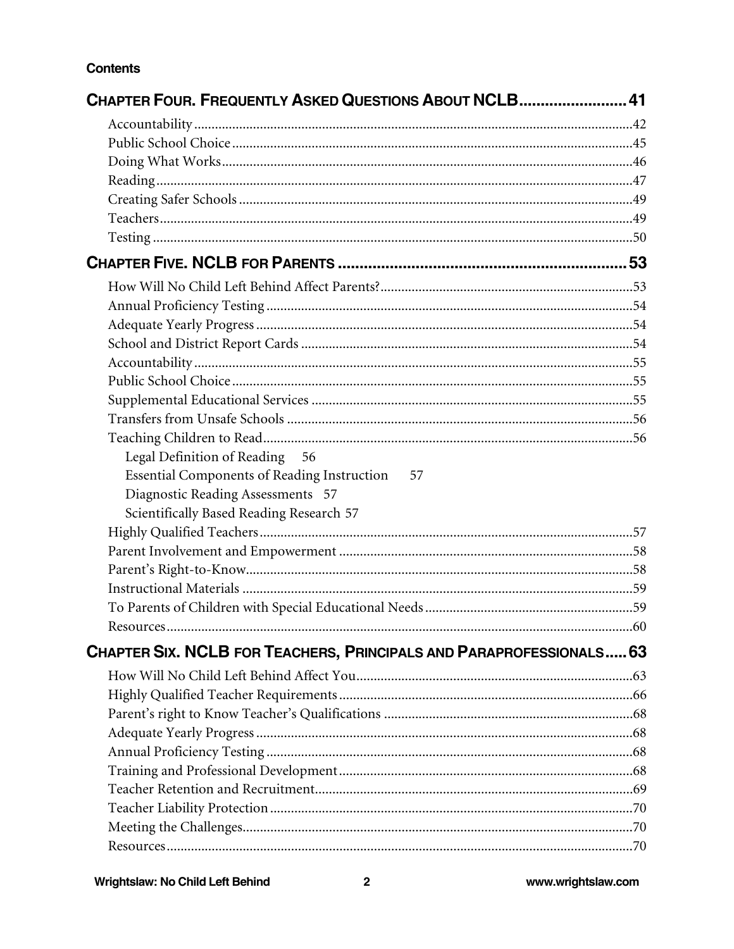## **Contents**

| <b>CHAPTER FOUR. FREQUENTLY ASKED QUESTIONS ABOUT NCLB 41</b>       |  |
|---------------------------------------------------------------------|--|
|                                                                     |  |
|                                                                     |  |
|                                                                     |  |
|                                                                     |  |
|                                                                     |  |
|                                                                     |  |
|                                                                     |  |
|                                                                     |  |
|                                                                     |  |
|                                                                     |  |
|                                                                     |  |
|                                                                     |  |
|                                                                     |  |
|                                                                     |  |
|                                                                     |  |
|                                                                     |  |
|                                                                     |  |
| Legal Definition of Reading 56                                      |  |
| Essential Components of Reading Instruction<br>57                   |  |
| Diagnostic Reading Assessments 57                                   |  |
| Scientifically Based Reading Research 57                            |  |
|                                                                     |  |
|                                                                     |  |
|                                                                     |  |
|                                                                     |  |
|                                                                     |  |
|                                                                     |  |
| CHAPTER SIX. NCLB FOR TEACHERS, PRINCIPALS AND PARAPROFESSIONALS 63 |  |
|                                                                     |  |
|                                                                     |  |
|                                                                     |  |
|                                                                     |  |
|                                                                     |  |
|                                                                     |  |
|                                                                     |  |
|                                                                     |  |
|                                                                     |  |
|                                                                     |  |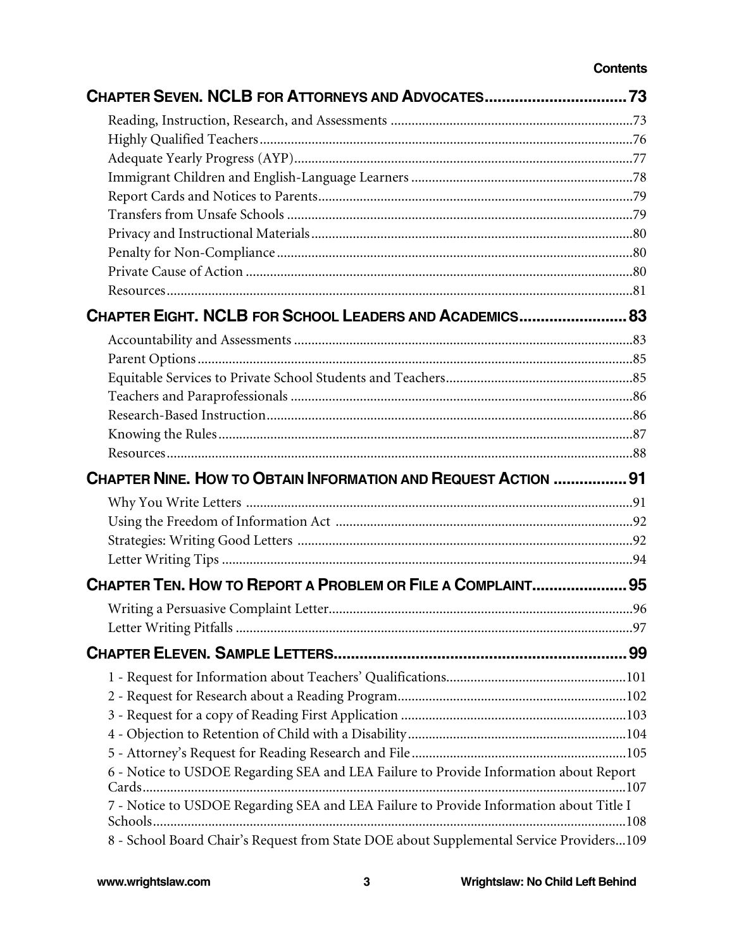## **Contents**

| CHAPTER SEVEN. NCLB FOR ATTORNEYS AND ADVOCATES 73                                      |  |
|-----------------------------------------------------------------------------------------|--|
|                                                                                         |  |
|                                                                                         |  |
|                                                                                         |  |
|                                                                                         |  |
|                                                                                         |  |
|                                                                                         |  |
|                                                                                         |  |
|                                                                                         |  |
|                                                                                         |  |
|                                                                                         |  |
| CHAPTER EIGHT. NCLB FOR SCHOOL LEADERS AND ACADEMICS 83                                 |  |
|                                                                                         |  |
|                                                                                         |  |
|                                                                                         |  |
|                                                                                         |  |
|                                                                                         |  |
|                                                                                         |  |
|                                                                                         |  |
| <b>CHAPTER NINE. HOW TO OBTAIN INFORMATION AND REQUEST ACTION  91</b>                   |  |
|                                                                                         |  |
|                                                                                         |  |
|                                                                                         |  |
|                                                                                         |  |
| CHAPTER TEN. HOW TO REPORT A PROBLEM OR FILE A COMPLAINT 95                             |  |
|                                                                                         |  |
|                                                                                         |  |
|                                                                                         |  |
|                                                                                         |  |
|                                                                                         |  |
|                                                                                         |  |
|                                                                                         |  |
|                                                                                         |  |
| 6 - Notice to USDOE Regarding SEA and LEA Failure to Provide Information about Report   |  |
| 7 - Notice to USDOE Regarding SEA and LEA Failure to Provide Information about Title I  |  |
| 8 - School Board Chair's Request from State DOE about Supplemental Service Providers109 |  |